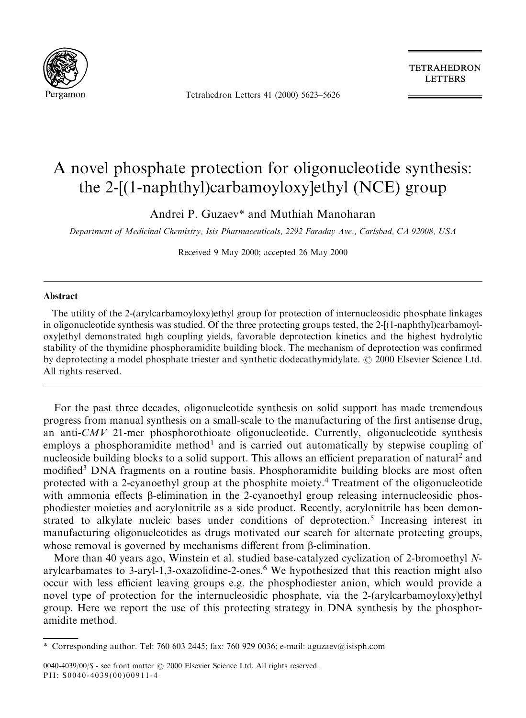

Tetrahedron Letters 41 (2000) 5623-5626

**TETRAHEDRON LETTERS** 

## A novel phosphate protection for oligonucleotide synthesis: the 2-[(1-naphthyl)carbamoyloxy]ethyl (NCE) group

Andrei P. Guzaev\* and Muthiah Manoharan

Department of Medicinal Chemistry, Isis Pharmaceuticals, 2292 Faraday Ave., Carlsbad, CA 92008, USA

Received 9 May 2000; accepted 26 May 2000

## Abstract

The utility of the 2-(arylcarbamoyloxy)ethyl group for protection of internucleosidic phosphate linkages in oligonucleotide synthesis was studied. Of the three protecting groups tested, the 2-[(1-naphthyl)carbamoyloxy]ethyl demonstrated high coupling yields, favorable deprotection kinetics and the highest hydrolytic stability of the thymidine phosphoramidite building block. The mechanism of deprotection was confirmed by deprotecting a model phosphate triester and synthetic dodecathymidylate.  $\odot$  2000 Elsevier Science Ltd. All rights reserved.

For the past three decades, oligonucleotide synthesis on solid support has made tremendous progress from manual synthesis on a small-scale to the manufacturing of the first antisense drug, an anti- $CMV$  21-mer phosphorothioate oligonucleotide. Currently, oligonucleotide synthesis employs a phosphoramidite method<sup>1</sup> and is carried out automatically by stepwise coupling of nucleoside building blocks to a solid support. This allows an efficient preparation of natural<sup>2</sup> and modified<sup>3</sup> DNA fragments on a routine basis. Phosphoramidite building blocks are most often protected with a 2-cyanoethyl group at the phosphite moiety.<sup>4</sup> Treatment of the oligonucleotide with ammonia effects  $\beta$ -elimination in the 2-cyanoethyl group releasing internucleosidic phosphodiester moieties and acrylonitrile as a side product. Recently, acrylonitrile has been demonstrated to alkylate nucleic bases under conditions of deprotection.<sup>5</sup> Increasing interest in manufacturing oligonucleotides as drugs motivated our search for alternate protecting groups, whose removal is governed by mechanisms different from  $\beta$ -elimination.

More than 40 years ago, Winstein et al. studied base-catalyzed cyclization of 2-bromoethyl Narylcarbamates to 3-aryl-1,3-oxazolidine-2-ones.6 We hypothesized that this reaction might also occur with less efficient leaving groups e.g. the phosphodiester anion, which would provide a novel type of protection for the internucleosidic phosphate, via the 2-(arylcarbamoyloxy)ethyl group. Here we report the use of this protecting strategy in DNA synthesis by the phosphoramidite method.

<sup>\*</sup> Corresponding author. Tel: 760 603 2445; fax: 760 929 0036; e-mail: aguzaev@isisph.com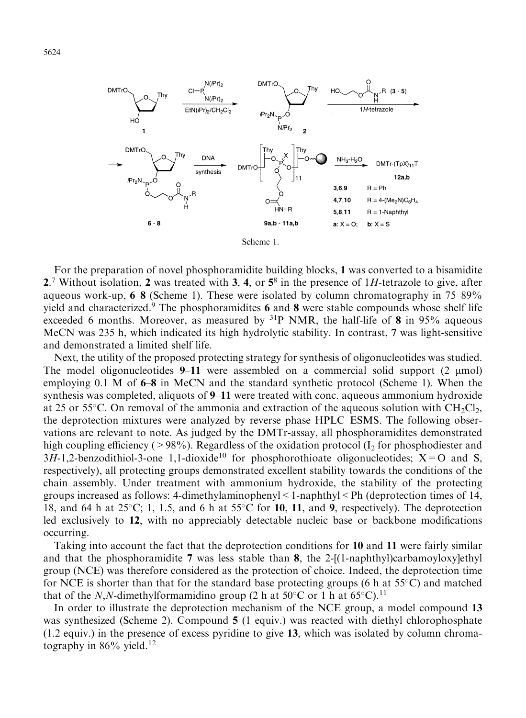



Scheme 1.

For the preparation of novel phosphoramidite building blocks, 1 was converted to a bisamidite 2.<sup>7</sup> Without isolation, 2 was treated with 3, 4, or  $5^8$  in the presence of 1H-tetrazole to give, after aqueous work-up,  $6-8$  (Scheme 1). These were isolated by column chromatography in 75 $-89\%$ yield and characterized.<sup>9</sup> The phosphoramidites 6 and 8 were stable compounds whose shelf life exceeded 6 months. Moreover, as measured by  $31P$  NMR, the half-life of 8 in 95% aqueous MeCN was 235 h, which indicated its high hydrolytic stability. In contrast, 7 was light-sensitive and demonstrated a limited shelf life.

Next, the utility of the proposed protecting strategy for synthesis of oligonucleotides was studied. The model oligonucleotides 9–11 were assembled on a commercial solid support  $(2 \mu mol)$ employing 0.1 M of  $6-8$  in MeCN and the standard synthetic protocol (Scheme 1). When the synthesis was completed, aliquots of  $9-11$  were treated with conc. aqueous ammonium hydroxide at 25 or 55 $\degree$ C. On removal of the ammonia and extraction of the aqueous solution with CH<sub>2</sub>Cl<sub>2</sub>, the deprotection mixtures were analyzed by reverse phase HPLC–ESMS. The following observations are relevant to note. As judged by the DMTr-assay, all phosphoramidites demonstrated high coupling efficiency ( $>98\%$ ). Regardless of the oxidation protocol (I<sub>2</sub> for phosphodiester and  $3H-1,2$ -benzodithiol-3-one 1,1-dioxide<sup>10</sup> for phosphorothioate oligonucleotides; X=O and S, respectively), all protecting groups demonstrated excellent stability towards the conditions of the chain assembly. Under treatment with ammonium hydroxide, the stability of the protecting groups increased as follows: 4-dimethylaminophenyl $\leq 1$ -naphthyl $\leq$ Ph (deprotection times of 14, 18, and 64 h at  $25^{\circ}$ C; 1, 1.5, and 6 h at  $55^{\circ}$ C for 10, 11, and 9, respectively). The deprotection led exclusively to 12, with no appreciably detectable nucleic base or backbone modifications occurring.

Taking into account the fact that the deprotection conditions for 10 and 11 were fairly similar and that the phosphoramidite 7 was less stable than 8, the 2- $[(1-naphthy])$ carbamoyloxy $]$ ethyl group (NCE) was therefore considered as the protection of choice. Indeed, the deprotection time for NCE is shorter than that for the standard base protecting groups (6 h at  $55^{\circ}$ C) and matched that of the N,N-dimethylformamidino group (2 h at  $50^{\circ}$ C or 1 h at  $65^{\circ}$ C).<sup>11</sup>

In order to illustrate the deprotection mechanism of the NCE group, a model compound 13 was synthesized (Scheme 2). Compound 5 (1 equiv.) was reacted with diethyl chlorophosphate (1.2 equiv.) in the presence of excess pyridine to give 13, which was isolated by column chromatography in  $86\%$  yield.<sup>12</sup>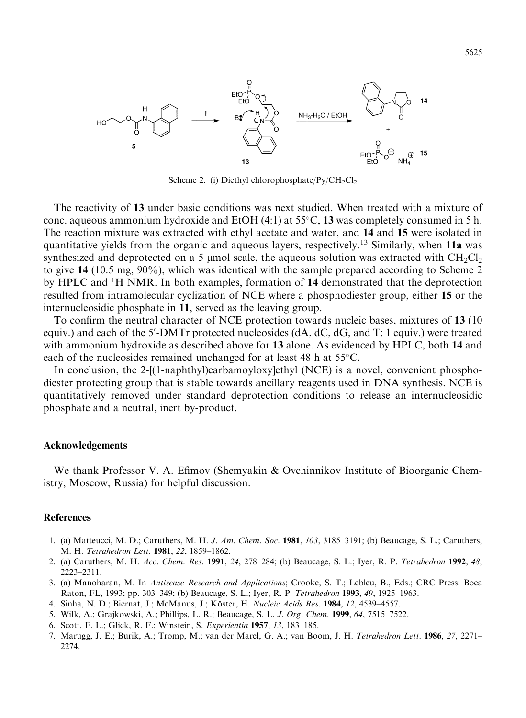

Scheme 2. (i) Diethyl chlorophosphate/ $Py/CH_2Cl_2$ 

The reactivity of 13 under basic conditions was next studied. When treated with a mixture of conc. aqueous ammonium hydroxide and EtOH  $(4:1)$  at 55 $\degree$ C, 13 was completely consumed in 5 h. The reaction mixture was extracted with ethyl acetate and water, and 14 and 15 were isolated in quantitative yields from the organic and aqueous layers, respectively.<sup>13</sup> Similarly, when 11a was synthesized and deprotected on a 5 µmol scale, the aqueous solution was extracted with  $CH_2Cl_2$ to give 14 (10.5 mg, 90%), which was identical with the sample prepared according to Scheme 2 by HPLC and <sup>1</sup>H NMR. In both examples, formation of 14 demonstrated that the deprotection resulted from intramolecular cyclization of NCE where a phosphodiester group, either 15 or the internucleosidic phosphate in 11, served as the leaving group.

To confirm the neutral character of NCE protection towards nucleic bases, mixtures of 13 (10) equiv.) and each of the 5'-DMTr protected nucleosides (dA, dC, dG, and T; 1 equiv.) were treated with ammonium hydroxide as described above for 13 alone. As evidenced by HPLC, both 14 and each of the nucleosides remained unchanged for at least 48 h at  $55^{\circ}$ C.

In conclusion, the 2-[(1-naphthyl)carbamoyloxy]ethyl (NCE) is a novel, convenient phosphodiester protecting group that is stable towards ancillary reagents used in DNA synthesis. NCE is quantitatively removed under standard deprotection conditions to release an internucleosidic phosphate and a neutral, inert by-product.

## Acknowledgements

We thank Professor V. A. Efimov (Shemyakin & Ovchinnikov Institute of Bioorganic Chemistry, Moscow, Russia) for helpful discussion.

## **References**

- 1. (a) Matteucci, M. D.; Caruthers, M. H. J. Am. Chem. Soc. 1981, 103, 3185–3191; (b) Beaucage, S. L.; Caruthers, M. H. Tetrahedron Lett. 1981, 22, 1859-1862.
- 2. (a) Caruthers, M. H. Acc. Chem. Res. 1991, 24, 278-284; (b) Beaucage, S. L.; Iyer, R. P. Tetrahedron 1992, 48, 2223±2311.
- 3. (a) Manoharan, M. In Antisense Research and Applications; Crooke, S. T.; Lebleu, B., Eds.; CRC Press: Boca Raton, FL, 1993; pp. 303-349; (b) Beaucage, S. L.; Iyer, R. P. Tetrahedron 1993, 49, 1925-1963.
- 4. Sinha, N. D.; Biernat, J.; McManus, J.; Köster, H. Nucleic Acids Res. 1984, 12, 4539–4557.
- 5. Wilk, A.; Grajkowski, A.; Phillips, L. R.; Beaucage, S. L. *J. Org. Chem.* **1999**, 64, 7515–7522.
- 6. Scott, F. L.; Glick, R. F.; Winstein, S. Experientia 1957, 13, 183–185.
- 7. Marugg, J. E.; Burik, A.; Tromp, M.; van der Marel, G. A.; van Boom, J. H. Tetrahedron Lett. 1986, 27, 2271– 2274.